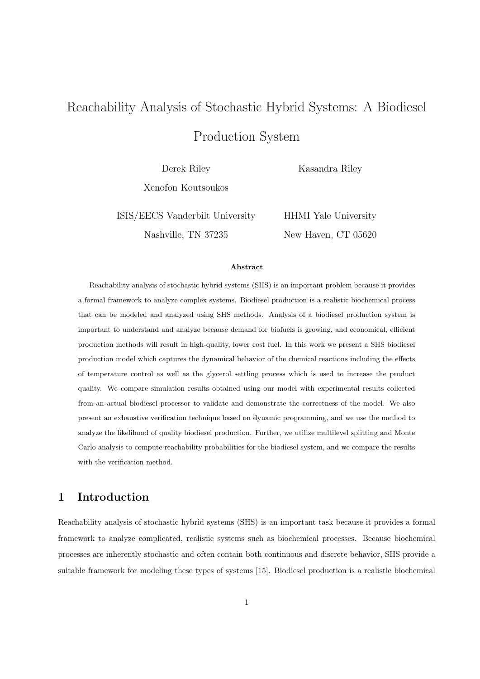# Reachability Analysis of Stochastic Hybrid Systems: A Biodiesel

Production System

Derek Riley

Kasandra Riley

Xenofon Koutsoukos

ISIS/EECS Vanderbilt University Nashville, TN 37235

HHMI Yale University New Haven, CT 05620

#### **Abstract**

Reachability analysis of stochastic hybrid systems (SHS) is an important problem because it provides a formal framework to analyze complex systems. Biodiesel production is a realistic biochemical process that can be modeled and analyzed using SHS methods. Analysis of a biodiesel production system is important to understand and analyze because demand for biofuels is growing, and economical, efficient production methods will result in high-quality, lower cost fuel. In this work we present a SHS biodiesel production model which captures the dynamical behavior of the chemical reactions including the effects of temperature control as well as the glycerol settling process which is used to increase the product quality. We compare simulation results obtained using our model with experimental results collected from an actual biodiesel processor to validate and demonstrate the correctness of the model. We also present an exhaustive verification technique based on dynamic programming, and we use the method to analyze the likelihood of quality biodiesel production. Further, we utilize multilevel splitting and Monte Carlo analysis to compute reachability probabilities for the biodiesel system, and we compare the results with the verification method.

# **1 Introduction**

Reachability analysis of stochastic hybrid systems (SHS) is an important task because it provides a formal framework to analyze complicated, realistic systems such as biochemical processes. Because biochemical processes are inherently stochastic and often contain both continuous and discrete behavior, SHS provide a suitable framework for modeling these types of systems [15]. Biodiesel production is a realistic biochemical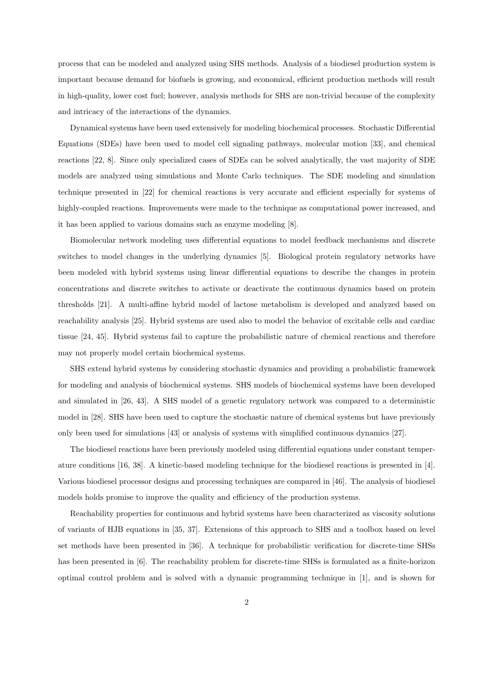process that can be modeled and analyzed using SHS methods. Analysis of a biodiesel production system is important because demand for biofuels is growing, and economical, efficient production methods will result in high-quality, lower cost fuel; however, analysis methods for SHS are non-trivial because of the complexity and intricacy of the interactions of the dynamics.

Dynamical systems have been used extensively for modeling biochemical processes. Stochastic Differential Equations (SDEs) have been used to model cell signaling pathways, molecular motion [33], and chemical reactions [22, 8]. Since only specialized cases of SDEs can be solved analytically, the vast majority of SDE models are analyzed using simulations and Monte Carlo techniques. The SDE modeling and simulation technique presented in [22] for chemical reactions is very accurate and efficient especially for systems of highly-coupled reactions. Improvements were made to the technique as computational power increased, and it has been applied to various domains such as enzyme modeling [8].

Biomolecular network modeling uses differential equations to model feedback mechanisms and discrete switches to model changes in the underlying dynamics [5]. Biological protein regulatory networks have been modeled with hybrid systems using linear differential equations to describe the changes in protein concentrations and discrete switches to activate or deactivate the continuous dynamics based on protein thresholds [21]. A multi-affine hybrid model of lactose metabolism is developed and analyzed based on reachability analysis [25]. Hybrid systems are used also to model the behavior of excitable cells and cardiac tissue [24, 45]. Hybrid systems fail to capture the probabilistic nature of chemical reactions and therefore may not properly model certain biochemical systems.

SHS extend hybrid systems by considering stochastic dynamics and providing a probabilistic framework for modeling and analysis of biochemical systems. SHS models of biochemical systems have been developed and simulated in [26, 43]. A SHS model of a genetic regulatory network was compared to a deterministic model in [28]. SHS have been used to capture the stochastic nature of chemical systems but have previously only been used for simulations [43] or analysis of systems with simplified continuous dynamics [27].

The biodiesel reactions have been previously modeled using differential equations under constant temperature conditions [16, 38]. A kinetic-based modeling technique for the biodiesel reactions is presented in [4]. Various biodiesel processor designs and processing techniques are compared in [46]. The analysis of biodiesel models holds promise to improve the quality and efficiency of the production systems.

Reachability properties for continuous and hybrid systems have been characterized as viscosity solutions of variants of HJB equations in [35, 37]. Extensions of this approach to SHS and a toolbox based on level set methods have been presented in [36]. A technique for probabilistic verification for discrete-time SHSs has been presented in [6]. The reachability problem for discrete-time SHSs is formulated as a finite-horizon optimal control problem and is solved with a dynamic programming technique in [1], and is shown for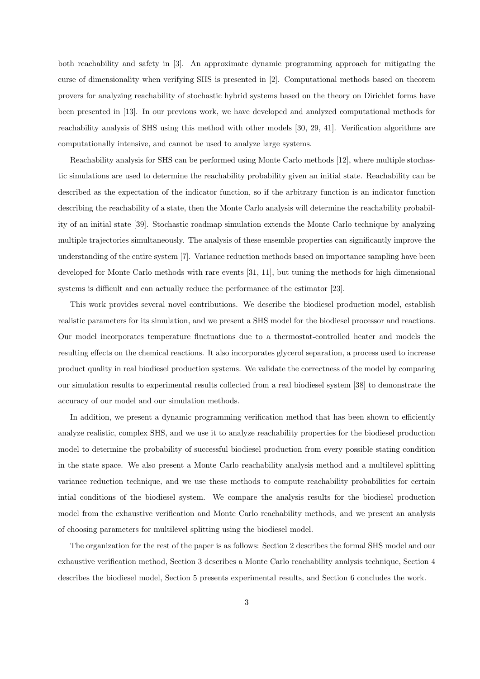both reachability and safety in [3]. An approximate dynamic programming approach for mitigating the curse of dimensionality when verifying SHS is presented in [2]. Computational methods based on theorem provers for analyzing reachability of stochastic hybrid systems based on the theory on Dirichlet forms have been presented in [13]. In our previous work, we have developed and analyzed computational methods for reachability analysis of SHS using this method with other models [30, 29, 41]. Verification algorithms are computationally intensive, and cannot be used to analyze large systems.

Reachability analysis for SHS can be performed using Monte Carlo methods [12], where multiple stochastic simulations are used to determine the reachability probability given an initial state. Reachability can be described as the expectation of the indicator function, so if the arbitrary function is an indicator function describing the reachability of a state, then the Monte Carlo analysis will determine the reachability probability of an initial state [39]. Stochastic roadmap simulation extends the Monte Carlo technique by analyzing multiple trajectories simultaneously. The analysis of these ensemble properties can significantly improve the understanding of the entire system [7]. Variance reduction methods based on importance sampling have been developed for Monte Carlo methods with rare events [31, 11], but tuning the methods for high dimensional systems is difficult and can actually reduce the performance of the estimator [23].

This work provides several novel contributions. We describe the biodiesel production model, establish realistic parameters for its simulation, and we present a SHS model for the biodiesel processor and reactions. Our model incorporates temperature fluctuations due to a thermostat-controlled heater and models the resulting effects on the chemical reactions. It also incorporates glycerol separation, a process used to increase product quality in real biodiesel production systems. We validate the correctness of the model by comparing our simulation results to experimental results collected from a real biodiesel system [38] to demonstrate the accuracy of our model and our simulation methods.

In addition, we present a dynamic programming verification method that has been shown to efficiently analyze realistic, complex SHS, and we use it to analyze reachability properties for the biodiesel production model to determine the probability of successful biodiesel production from every possible stating condition in the state space. We also present a Monte Carlo reachability analysis method and a multilevel splitting variance reduction technique, and we use these methods to compute reachability probabilities for certain intial conditions of the biodiesel system. We compare the analysis results for the biodiesel production model from the exhaustive verification and Monte Carlo reachability methods, and we present an analysis of choosing parameters for multilevel splitting using the biodiesel model.

The organization for the rest of the paper is as follows: Section 2 describes the formal SHS model and our exhaustive verification method, Section 3 describes a Monte Carlo reachability analysis technique, Section 4 describes the biodiesel model, Section 5 presents experimental results, and Section 6 concludes the work.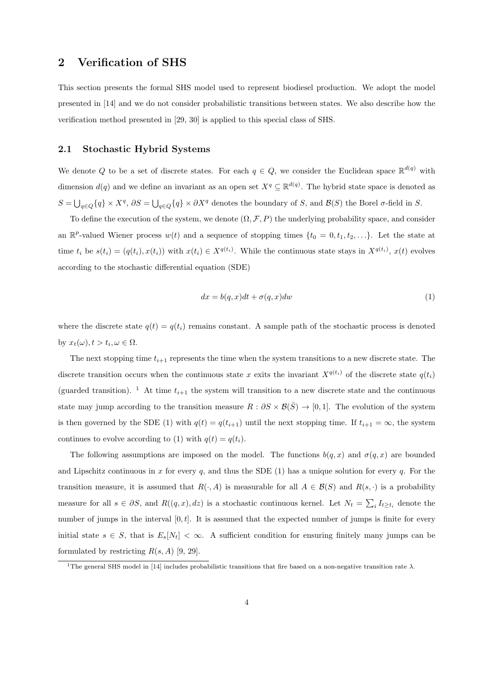## **2 Verification of SHS**

This section presents the formal SHS model used to represent biodiesel production. We adopt the model presented in [14] and we do not consider probabilistic transitions between states. We also describe how the verification method presented in [29, 30] is applied to this special class of SHS.

#### **2.1 Stochastic Hybrid Systems**

We denote Q to be a set of discrete states. For each  $q \in Q$ , we consider the Euclidean space  $\mathbb{R}^{d(q)}$  with dimension  $d(q)$  and we define an invariant as an open set  $X^q \subseteq \mathbb{R}^{d(q)}$ . The hybrid state space is denoted as  $S = \bigcup_{q \in Q} \{q\} \times X^q$ ,  $\partial S = \bigcup_{q \in Q} \{q\} \times \partial X^q$  denotes the boundary of S, and  $\mathcal{B}(S)$  the Borel  $\sigma$ -field in S.

To define the execution of the system, we denote  $(\Omega, \mathcal{F}, P)$  the underlying probability space, and consider an  $\mathbb{R}^p$ -valued Wiener process  $w(t)$  and a sequence of stopping times  $\{t_0 = 0, t_1, t_2, \ldots\}$ . Let the state at time  $t_i$  be  $s(t_i) = (q(t_i), x(t_i))$  with  $x(t_i) \in X^{q(t_i)}$ . While the continuous state stays in  $X^{q(t_i)}$ ,  $x(t)$  evolves according to the stochastic differential equation (SDE)

$$
dx = b(q, x)dt + \sigma(q, x)dw
$$
\n<sup>(1)</sup>

where the discrete state  $q(t) = q(t_i)$  remains constant. A sample path of the stochastic process is denoted by  $x_t(\omega), t > t_i, \omega \in \Omega$ .

The next stopping time  $t_{i+1}$  represents the time when the system transitions to a new discrete state. The discrete transition occurs when the continuous state *x* exits the invariant  $X^{q(t_i)}$  of the discrete state  $q(t_i)$ (guarded transition). <sup>1</sup> At time  $t_{i+1}$  the system will transition to a new discrete state and the continuous state may jump according to the transition measure  $R : \partial S \times \mathcal{B}(\overline{S}) \to [0,1]$ . The evolution of the system is then governed by the SDE (1) with  $q(t) = q(t_{i+1})$  until the next stopping time. If  $t_{i+1} = \infty$ , the system continues to evolve according to (1) with  $q(t) = q(t_i)$ .

The following assumptions are imposed on the model. The functions  $b(q, x)$  and  $\sigma(q, x)$  are bounded and Lipschitz continuous in  $x$  for every  $q$ , and thus the SDE (1) has a unique solution for every  $q$ . For the transition measure, it is assumed that  $R(\cdot, A)$  is measurable for all  $A \in \mathcal{B}(S)$  and  $R(s, \cdot)$  is a probability measure for all  $s \in \partial S$ , and  $R((q, x), dz)$  is a stochastic continuous kernel. Let  $N_t = \sum_i I_{t \ge t_i}$  denote the number of jumps in the interval [0*, t*]. It is assumed that the expected number of jumps is finite for every initial state  $s \in S$ , that is  $E_s[N_t] < \infty$ . A sufficient condition for ensuring finitely many jumps can be formulated by restricting  $R(s, A)$  [9, 29].

<sup>1</sup>The general SHS model in [14] includes probabilistic transitions that fire based on a non-negative transition rate *λ*.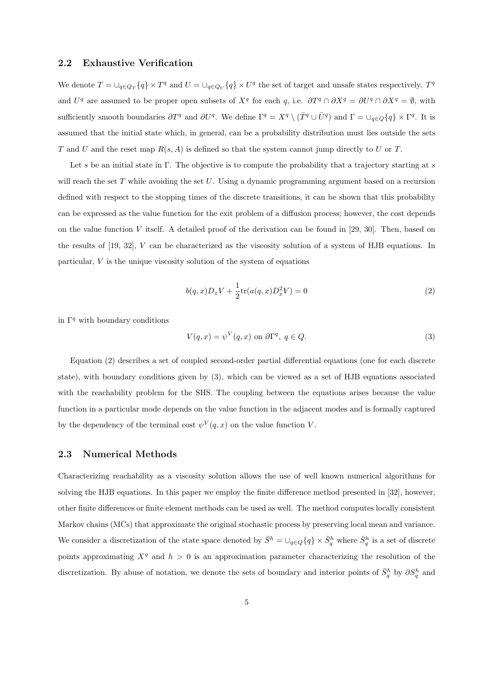#### **2.2 Exhaustive Verification**

We denote  $T = \bigcup_{q \in Q_T} \{q\} \times T^q$  and  $U = \bigcup_{q \in Q_U} \{q\} \times U^q$  the set of target and unsafe states respectively.  $T^q$ and  $U^q$  are assumed to be proper open subsets of  $X^q$  for each *q*, i.e.  $\partial T^q \cap \partial X^q = \partial U^q \cap \partial X^q = \emptyset$ , with sufficiently smooth boundaries  $\partial T^q$  and  $\partial U^q$ . We define  $\Gamma^q = X^q \setminus (\overline{T}^q \cup \overline{U}^q)$  and  $\Gamma = \bigcup_{q \in Q} \{q\} \times \Gamma^q$ . It is assumed that the initial state which, in general, can be a probability distribution must lies outside the sets *T* and *U* and the reset map *R*(*s, A*) is defined so that the system cannot jump directly to *U* or *T*.

Let *s* be an initial state in Γ. The objective is to compute the probability that a trajectory starting at *s* will reach the set *T* while avoiding the set *U*. Using a dynamic programming argument based on a recursion defined with respect to the stopping times of the discrete transitions, it can be shown that this probability can be expressed as the value function for the exit problem of a diffusion process; however, the cost depends on the value function *V* itself. A detailed proof of the derivation can be found in [29, 30]. Then, based on the results of [19, 32], *V* can be characterized as the viscosity solution of a system of HJB equations. In particular, *V* is the unique viscosity solution of the system of equations

$$
b(q,x)D_x V + \frac{1}{2} \text{tr}(a(q,x)D_x^2 V) = 0
$$
\n(2)

in  $\Gamma^q$  with boundary conditions

$$
V(q, x) = \psi^V(q, x) \text{ on } \partial \Gamma^q, \ q \in Q. \tag{3}
$$

Equation (2) describes a set of coupled second-order partial differential equations (one for each discrete state), with boundary conditions given by (3), which can be viewed as a set of HJB equations associated with the reachability problem for the SHS. The coupling between the equations arises because the value function in a particular mode depends on the value function in the adjacent modes and is formally captured by the dependency of the terminal cost  $\psi^V(q, x)$  on the value function *V*.

#### **2.3 Numerical Methods**

Characterizing reachability as a viscosity solution allows the use of well known numerical algorithms for solving the HJB equations. In this paper we employ the finite difference method presented in [32], however, other finite differences or finite element methods can be used as well. The method computes locally consistent Markov chains (MCs) that approximate the original stochastic process by preserving local mean and variance. We consider a discretization of the state space denoted by  $\bar{S}^h = \bigcup_{q \in Q} \{q\} \times \bar{S}^h_q$  where  $\bar{S}^h_q$  is a set of discrete points approximating  $X^q$  and  $h > 0$  is an approximation parameter characterizing the resolution of the discretization. By abuse of notation, we denote the sets of boundary and interior points of  $\bar{S}^h_q$  by  $\partial S^h_q$  and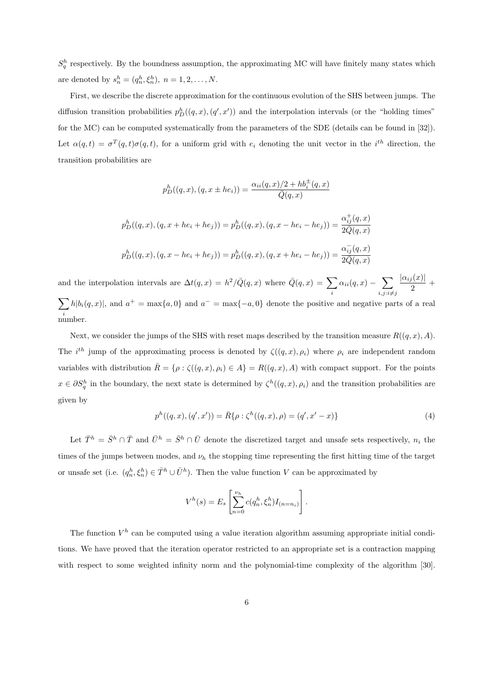$S_q^h$  respectively. By the boundness assumption, the approximating MC will have finitely many states which are denoted by  $s_n^h = (q_n^h, \xi_n^h), n = 1, 2, ..., N$ .

First, we describe the discrete approximation for the continuous evolution of the SHS between jumps. The diffusion transition probabilities  $p_D^h((q, x), (q', x'))$  and the interpolation intervals (or the "holding times" for the MC) can be computed systematically from the parameters of the SDE (details can be found in [32]). Let  $\alpha(q, t) = \sigma^T(q, t)\sigma(q, t)$ , for a uniform grid with  $e_i$  denoting the unit vector in the *i*<sup>th</sup> direction, the transition probabilities are

$$
p_D^h((q, x), (q, x \pm he_i)) = \frac{\alpha_{ii}(q, x)/2 + hb_i^{\pm}(q, x)}{\bar{Q}(q, x)}
$$
  

$$
p_D^h((q, x), (q, x + he_i + he_j)) = p_D^h((q, x), (q, x - he_i - he_j)) = \frac{\alpha_{ij}^+(q, x)}{2\bar{Q}(q, x)}
$$
  

$$
p_D^h((q, x), (q, x - he_i + he_j)) = p_D^h((q, x), (q, x + he_i - he_j)) = \frac{\alpha_{ij}^-(q, x)}{2\bar{Q}(q, x)}
$$

and the interpolation intervals are  $\Delta t(q, x) = h^2/\overline{Q}(q, x)$  where  $\overline{Q}(q, x) = \sum$ *i*  $\alpha_{ii}(q,x) - \sum_{n=0}^{\infty} \frac{|\alpha_{ij}(x)|}{n}$  $\sum_{i} b | b_i(a, x) |$  and  $a^{\pm} = \max\{a, 0\}$  and  $a^{\pm} = \max\{-a, 0\}$  denote the positive and persive part  $\frac{1}{2}$ <sup>+</sup> *i*  $h|b_i(q, x)|$ , and  $a^+ = \max\{a, 0\}$  and  $a^- = \max\{-a, 0\}$  denote the positive and negative parts of a real number.

Next, we consider the jumps of the SHS with reset maps described by the transition measure  $R((q, x), A)$ . The *i*<sup>th</sup> jump of the approximating process is denoted by  $\zeta((q, x), \rho_i)$  where  $\rho_i$  are independent random variables with distribution  $\overline{R} = \{ \rho : \zeta((q, x), \rho_i) \in A \} = R((q, x), A)$  with compact support. For the points  $x \in \partial S_q^h$  in the boundary, the next state is determined by  $\zeta^h((q, x), \rho_i)$  and the transition probabilities are given by

$$
p^{h}((q, x), (q', x')) = \bar{R}\{\rho : \zeta^{h}((q, x), \rho) = (q', x' - x)\}\
$$
\n(4)

Let  $\bar{T}^h = \bar{S}^h \cap \bar{T}$  and  $\bar{U}^h = \bar{S}^h \cap \bar{U}$  denote the discretized target and unsafe sets respectively,  $n_i$  the times of the jumps between modes, and *ν<sup>h</sup>* the stopping time representing the first hitting time of the target or unsafe set (i.e.  $(q_n^h, \xi_n^h) \in \overline{T}^h \cup \overline{U}^h$ ). Then the value function *V* can be approximated by

$$
V^{h}(s) = E_{s} \left[ \sum_{n=0}^{\nu_{h}} c(q_{n}^{h}, \xi_{n}^{h}) I_{(n=n_{i})} \right].
$$

The function  $V^h$  can be computed using a value iteration algorithm assuming appropriate initial conditions. We have proved that the iteration operator restricted to an appropriate set is a contraction mapping with respect to some weighted infinity norm and the polynomial-time complexity of the algorithm [30].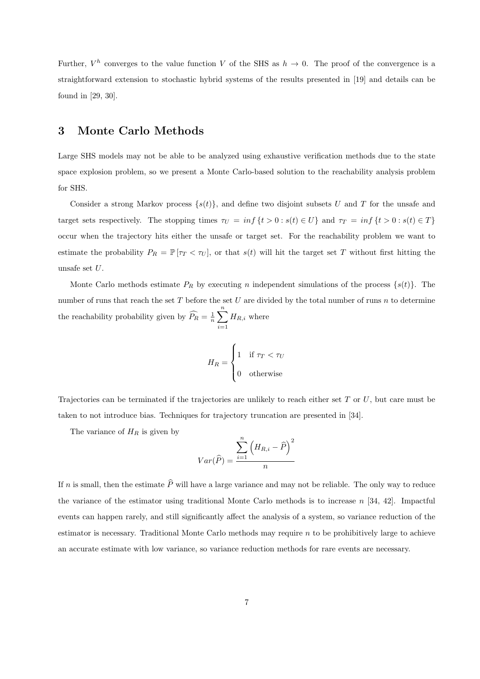Further,  $V^h$  converges to the value function *V* of the SHS as  $h \to 0$ . The proof of the convergence is a straightforward extension to stochastic hybrid systems of the results presented in [19] and details can be found in [29, 30].

## **3 Monte Carlo Methods**

Large SHS models may not be able to be analyzed using exhaustive verification methods due to the state space explosion problem, so we present a Monte Carlo-based solution to the reachability analysis problem for SHS.

Consider a strong Markov process  $\{s(t)\}\$ , and define two disjoint subsets U and T for the unsafe and target sets respectively. The stopping times  $\tau_U = \inf \{ t > 0 : s(t) \in U \}$  and  $\tau_T = \inf \{ t > 0 : s(t) \in T \}$ occur when the trajectory hits either the unsafe or target set. For the reachability problem we want to estimate the probability  $P_R = \mathbb{P}[\tau_T < \tau_U]$ , or that  $s(t)$  will hit the target set *T* without first hitting the unsafe set *U*.

Monte Carlo methods estimate  $P_R$  by executing *n* independent simulations of the process  $\{s(t)\}\$ . The number of runs that reach the set *T* before the set *U* are divided by the total number of runs *n* to determine the reachability probability given by  $\widehat{P}_R = \frac{1}{n} \sum^n$ *i*=1  $H_{R,i}$  where

$$
H_R = \begin{cases} 1 & \text{if } \tau_T < \tau_U \\ 0 & \text{otherwise} \end{cases}
$$

Trajectories can be terminated if the trajectories are unlikely to reach either set *T* or *U*, but care must be taken to not introduce bias. Techniques for trajectory truncation are presented in [34].

The variance of *H<sup>R</sup>* is given by

$$
Var(\widehat{P}) = \frac{\sum_{i=1}^{n} (H_{R,i} - \widehat{P})^2}{n}
$$

If *n* is small, then the estimate  $\hat{P}$  will have a large variance and may not be reliable. The only way to reduce the variance of the estimator using traditional Monte Carlo methods is to increase *n* [34, 42]. Impactful events can happen rarely, and still significantly affect the analysis of a system, so variance reduction of the estimator is necessary. Traditional Monte Carlo methods may require *n* to be prohibitively large to achieve an accurate estimate with low variance, so variance reduction methods for rare events are necessary.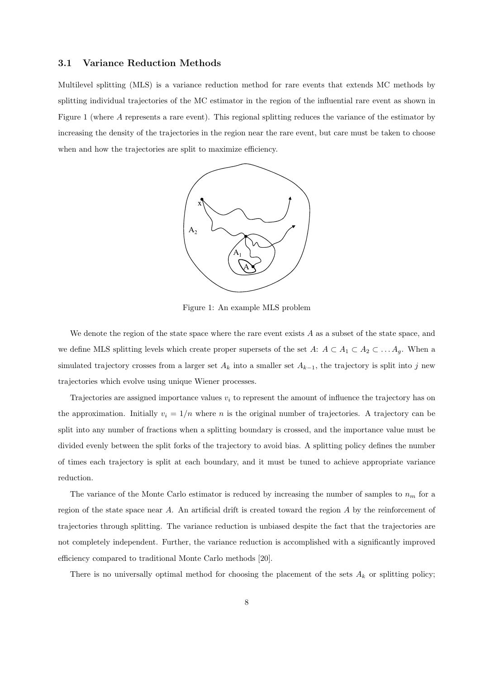#### **3.1 Variance Reduction Methods**

Multilevel splitting (MLS) is a variance reduction method for rare events that extends MC methods by splitting individual trajectories of the MC estimator in the region of the influential rare event as shown in Figure 1 (where A represents a rare event). This regional splitting reduces the variance of the estimator by increasing the density of the trajectories in the region near the rare event, but care must be taken to choose when and how the trajectories are split to maximize efficiency.



Figure 1: An example MLS problem

We denote the region of the state space where the rare event exists *A* as a subset of the state space, and we define MLS splitting levels which create proper supersets of the set  $A: A \subset A_1 \subset A_2 \subset \ldots A_g$ . When a simulated trajectory crosses from a larger set  $A_k$  into a smaller set  $A_{k-1}$ , the trajectory is split into *j* new trajectories which evolve using unique Wiener processes.

Trajectories are assigned importance values *v<sup>i</sup>* to represent the amount of influence the trajectory has on the approximation. Initially  $v_i = 1/n$  where *n* is the original number of trajectories. A trajectory can be split into any number of fractions when a splitting boundary is crossed, and the importance value must be divided evenly between the split forks of the trajectory to avoid bias. A splitting policy defines the number of times each trajectory is split at each boundary, and it must be tuned to achieve appropriate variance reduction.

The variance of the Monte Carlo estimator is reduced by increasing the number of samples to *n<sup>m</sup>* for a region of the state space near *A*. An artificial drift is created toward the region *A* by the reinforcement of trajectories through splitting. The variance reduction is unbiased despite the fact that the trajectories are not completely independent. Further, the variance reduction is accomplished with a significantly improved efficiency compared to traditional Monte Carlo methods [20].

There is no universally optimal method for choosing the placement of the sets  $A_k$  or splitting policy;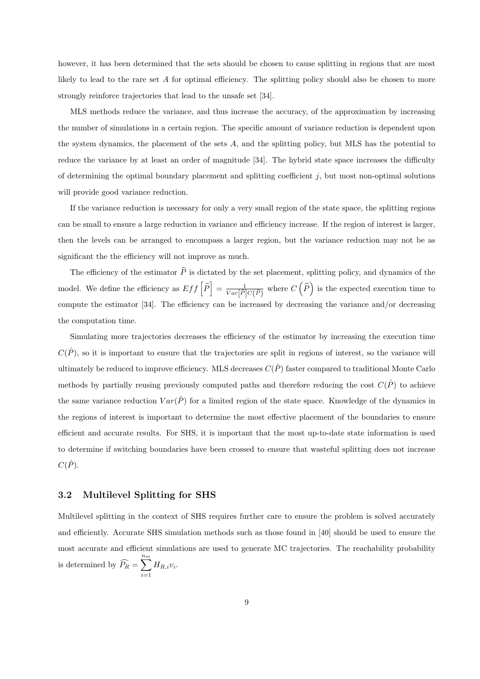however, it has been determined that the sets should be chosen to cause splitting in regions that are most likely to lead to the rare set A for optimal efficiency. The splitting policy should also be chosen to more strongly reinforce trajectories that lead to the unsafe set [34].

MLS methods reduce the variance, and thus increase the accuracy, of the approximation by increasing the number of simulations in a certain region. The specific amount of variance reduction is dependent upon the system dynamics, the placement of the sets *A*, and the splitting policy, but MLS has the potential to reduce the variance by at least an order of magnitude [34]. The hybrid state space increases the difficulty of determining the optimal boundary placement and splitting coefficient *j*, but most non-optimal solutions will provide good variance reduction.

If the variance reduction is necessary for only a very small region of the state space, the splitting regions can be small to ensure a large reduction in variance and efficiency increase. If the region of interest is larger, then the levels can be arranged to encompass a larger region, but the variance reduction may not be as significant the the efficiency will not improve as much.

The efficiency of the estimator  $\hat{P}$  is dictated by the set placement, splitting policy, and dynamics of the model. We define the efficiency as  $Eff\left[\hat{P}\right] = \frac{1}{Var\left[\hat{P}\right]C(\hat{P})}$  where  $C\left(\hat{P}\right)$  is the expected execution time to compute the estimator [34]. The efficiency can be increased by decreasing the variance and/or decreasing the computation time.

Simulating more trajectories decreases the efficiency of the estimator by increasing the execution time  $C(\hat{P})$ , so it is important to ensure that the trajectories are split in regions of interest, so the variance will ultimately be reduced to improve efficiency. MLS decreases  $C(\hat{P})$  faster compared to traditional Monte Carlo methods by partially reusing previously computed paths and therefore reducing the cost  $C(\hat{P})$  to achieve the same variance reduction  $Var(\hat{P})$  for a limited region of the state space. Knowledge of the dynamics in the regions of interest is important to determine the most effective placement of the boundaries to ensure efficient and accurate results. For SHS, it is important that the most up-to-date state information is used to determine if switching boundaries have been crossed to ensure that wasteful splitting does not increase  $C(\hat{P})$ .

#### **3.2 Multilevel Splitting for SHS**

Multilevel splitting in the context of SHS requires further care to ensure the problem is solved accurately and efficiently. Accurate SHS simulation methods such as those found in [40] should be used to ensure the most accurate and efficient simulations are used to generate MC trajectories. The reachability probability is determined by  $\widehat{P}_R = \sum^{n_m}$ *i*=1  $H_{R,i}v_i$ .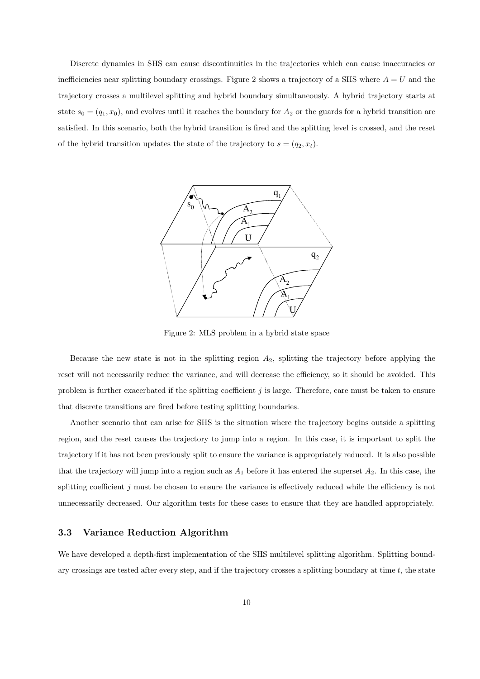Discrete dynamics in SHS can cause discontinuities in the trajectories which can cause inaccuracies or inefficiencies near splitting boundary crossings. Figure 2 shows a trajectory of a SHS where  $A = U$  and the trajectory crosses a multilevel splitting and hybrid boundary simultaneously. A hybrid trajectory starts at state  $s_0 = (q_1, x_0)$ , and evolves until it reaches the boundary for  $A_2$  or the guards for a hybrid transition are satisfied. In this scenario, both the hybrid transition is fired and the splitting level is crossed, and the reset of the hybrid transition updates the state of the trajectory to  $s = (q_2, x_t)$ .



Figure 2: MLS problem in a hybrid state space

Because the new state is not in the splitting region *A*2, splitting the trajectory before applying the reset will not necessarily reduce the variance, and will decrease the efficiency, so it should be avoided. This problem is further exacerbated if the splitting coefficient  $j$  is large. Therefore, care must be taken to ensure that discrete transitions are fired before testing splitting boundaries.

Another scenario that can arise for SHS is the situation where the trajectory begins outside a splitting region, and the reset causes the trajectory to jump into a region. In this case, it is important to split the trajectory if it has not been previously split to ensure the variance is appropriately reduced. It is also possible that the trajectory will jump into a region such as  $A_1$  before it has entered the superset  $A_2$ . In this case, the splitting coefficient *j* must be chosen to ensure the variance is effectively reduced while the efficiency is not unnecessarily decreased. Our algorithm tests for these cases to ensure that they are handled appropriately.

#### **3.3 Variance Reduction Algorithm**

We have developed a depth-first implementation of the SHS multilevel splitting algorithm. Splitting boundary crossings are tested after every step, and if the trajectory crosses a splitting boundary at time *t*, the state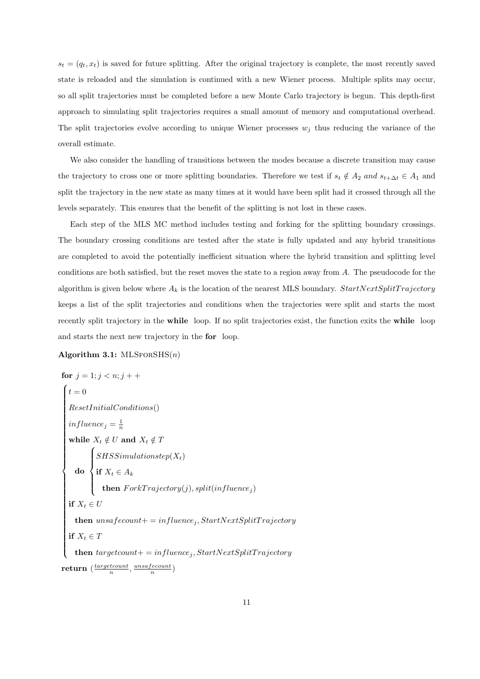$s_t = (q_t, x_t)$  is saved for future splitting. After the original trajectory is complete, the most recently saved state is reloaded and the simulation is continued with a new Wiener process. Multiple splits may occur, so all split trajectories must be completed before a new Monte Carlo trajectory is begun. This depth-first approach to simulating split trajectories requires a small amount of memory and computational overhead. The split trajectories evolve according to unique Wiener processes  $w_j$  thus reducing the variance of the overall estimate.

We also consider the handling of transitions between the modes because a discrete transition may cause the trajectory to cross one or more splitting boundaries. Therefore we test if  $s_t \notin A_2$  *and*  $s_{t+\Delta t} \in A_1$  and split the trajectory in the new state as many times at it would have been split had it crossed through all the levels separately. This ensures that the benefit of the splitting is not lost in these cases.

Each step of the MLS MC method includes testing and forking for the splitting boundary crossings. The boundary crossing conditions are tested after the state is fully updated and any hybrid transitions are completed to avoid the potentially inefficient situation where the hybrid transition and splitting level conditions are both satisfied, but the reset moves the state to a region away from *A*. The pseudocode for the algorithm is given below where  $A_k$  is the location of the nearest MLS boundary.  $StartNextSplitTrajectory$ keeps a list of the split trajectories and conditions when the trajectories were split and starts the most recently split trajectory in the **while** loop. If no split trajectories exist, the function exits the **while** loop and starts the next new trajectory in the **for** loop.

#### **Algorithm 3.1:** MLSforSHS(*n*)

for 
$$
j = 1; j < n; j + +
$$

\n
$$
\begin{cases}\nt = 0 \\
\text{ResetInitialConditions}() \\
influence_j = \frac{1}{n} \\
\text{while } X_t \notin U \text{ and } X_t \notin T \\
\text{do } \begin{cases}\nSHSSimulationstop(X_t) \\
\text{if } X_t \in A_k \\
\text{then } For kTrajectory(j), split(influence_j) \\
\text{if } X_t \in U\n\end{cases}
$$
\nif  $X_t \in U$ 

\nthen  $unsafecount += influence_j, StartNextSplitTrajectory$ 

\nif  $X_t \in T$ 

\nthen  $targetcount += influence_j, StartNextSplitTrajectory$ 

\nreturn  $\left(\frac{targetcount}{n}, \frac{unsafecount}{n}\right)$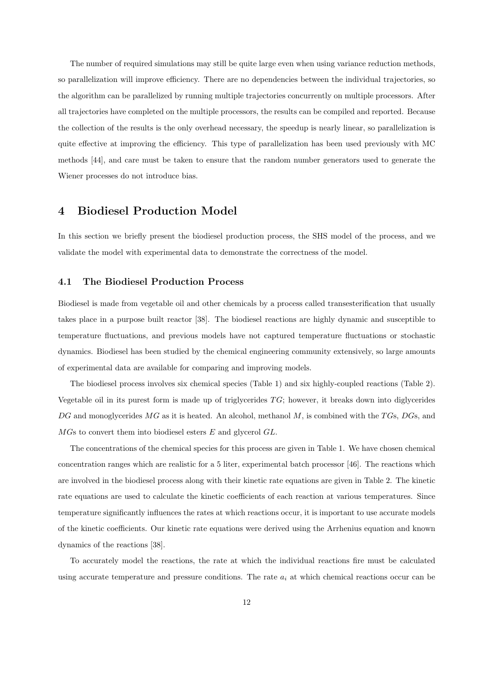The number of required simulations may still be quite large even when using variance reduction methods, so parallelization will improve efficiency. There are no dependencies between the individual trajectories, so the algorithm can be parallelized by running multiple trajectories concurrently on multiple processors. After all trajectories have completed on the multiple processors, the results can be compiled and reported. Because the collection of the results is the only overhead necessary, the speedup is nearly linear, so parallelization is quite effective at improving the efficiency. This type of parallelization has been used previously with MC methods [44], and care must be taken to ensure that the random number generators used to generate the Wiener processes do not introduce bias.

# **4 Biodiesel Production Model**

In this section we briefly present the biodiesel production process, the SHS model of the process, and we validate the model with experimental data to demonstrate the correctness of the model.

#### **4.1 The Biodiesel Production Process**

Biodiesel is made from vegetable oil and other chemicals by a process called transesterification that usually takes place in a purpose built reactor [38]. The biodiesel reactions are highly dynamic and susceptible to temperature fluctuations, and previous models have not captured temperature fluctuations or stochastic dynamics. Biodiesel has been studied by the chemical engineering community extensively, so large amounts of experimental data are available for comparing and improving models.

The biodiesel process involves six chemical species (Table 1) and six highly-coupled reactions (Table 2). Vegetable oil in its purest form is made up of triglycerides *T G*; however, it breaks down into diglycerides *DG* and monoglycerides *MG* as it is heated. An alcohol, methanol *M*, is combined with the *T G*s, *DG*s, and *MG*s to convert them into biodiesel esters *E* and glycerol *GL*.

The concentrations of the chemical species for this process are given in Table 1. We have chosen chemical concentration ranges which are realistic for a 5 liter, experimental batch processor [46]. The reactions which are involved in the biodiesel process along with their kinetic rate equations are given in Table 2. The kinetic rate equations are used to calculate the kinetic coefficients of each reaction at various temperatures. Since temperature significantly influences the rates at which reactions occur, it is important to use accurate models of the kinetic coefficients. Our kinetic rate equations were derived using the Arrhenius equation and known dynamics of the reactions [38].

To accurately model the reactions, the rate at which the individual reactions fire must be calculated using accurate temperature and pressure conditions. The rate *a<sup>i</sup>* at which chemical reactions occur can be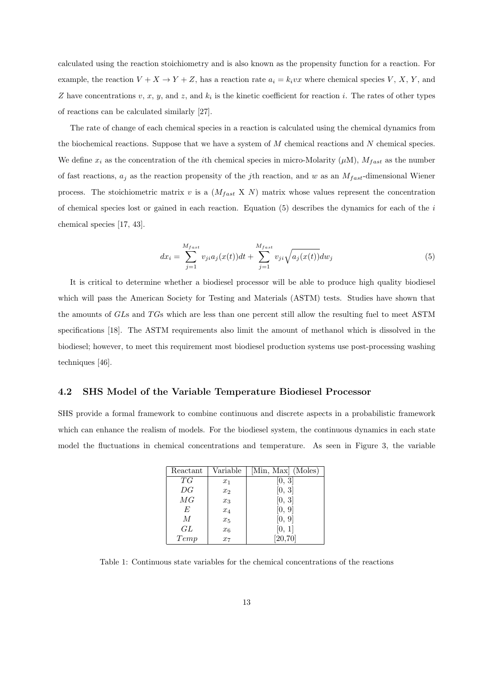calculated using the reaction stoichiometry and is also known as the propensity function for a reaction. For example, the reaction  $V + X \rightarrow Y + Z$ , has a reaction rate  $a_i = k_i v x$  where chemical species  $V, X, Y$ , and *Z* have concentrations *v*, *x*, *y*, and *z*, and *k<sup>i</sup>* is the kinetic coefficient for reaction *i*. The rates of other types of reactions can be calculated similarly [27].

The rate of change of each chemical species in a reaction is calculated using the chemical dynamics from the biochemical reactions. Suppose that we have a system of *M* chemical reactions and *N* chemical species. We define  $x_i$  as the concentration of the *i*th chemical species in micro-Molarity  $(\mu M)$ ,  $M_{fast}$  as the number of fast reactions,  $a_j$  as the reaction propensity of the *j*th reaction, and *w* as an  $M_{fast}$ -dimensional Wiener process. The stoichiometric matrix  $v$  is a  $(M<sub>fast</sub> X N)$  matrix whose values represent the concentration of chemical species lost or gained in each reaction. Equation (5) describes the dynamics for each of the *i* chemical species [17, 43].

$$
dx_{i} = \sum_{j=1}^{M_{fast}} v_{ji} a_{j}(x(t))dt + \sum_{j=1}^{M_{fast}} v_{ji}\sqrt{a_{j}(x(t))}dw_{j}
$$
(5)

It is critical to determine whether a biodiesel processor will be able to produce high quality biodiesel which will pass the American Society for Testing and Materials (ASTM) tests. Studies have shown that the amounts of *GL*s and *T G*s which are less than one percent still allow the resulting fuel to meet ASTM specifications [18]. The ASTM requirements also limit the amount of methanol which is dissolved in the biodiesel; however, to meet this requirement most biodiesel production systems use post-processing washing techniques [46].

#### **4.2 SHS Model of the Variable Temperature Biodiesel Processor**

SHS provide a formal framework to combine continuous and discrete aspects in a probabilistic framework which can enhance the realism of models. For the biodiesel system, the continuous dynamics in each state model the fluctuations in chemical concentrations and temperature. As seen in Figure 3, the variable

| Reactant      | Variable         | [Min, Max] (Moles) |
|---------------|------------------|--------------------|
| T G           | $x_1$            | [0, 3]             |
| DG            | x <sub>2</sub>   | [0, 3]             |
| $\mathit{MG}$ | $x_3$            | [0, 3]             |
| E             | $x_4$            | [0, 9]             |
| M             | $x_5$            | [0, 9]             |
| GL            | $x_6$            | [0, 1]             |
| Temp          | $\overline{x_7}$ | [20, 70]           |

Table 1: Continuous state variables for the chemical concentrations of the reactions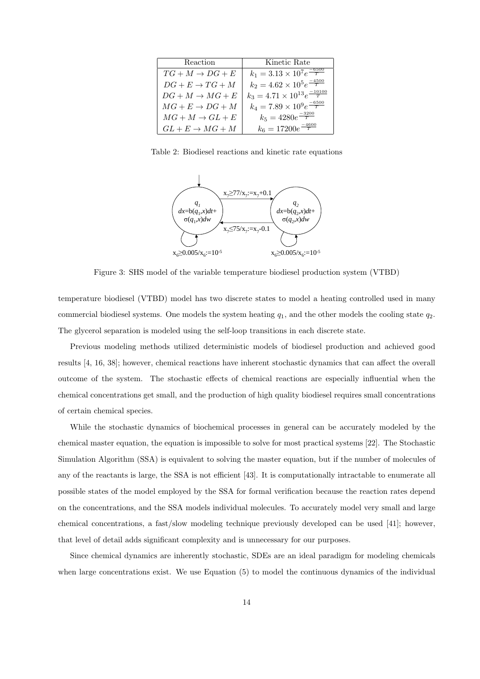| Reaction                    | Kinetic Rate                                     |
|-----------------------------|--------------------------------------------------|
| $TG+M \rightarrow DG+E$     | $k_1 = 3.13 \times 10^7 e^{\frac{-6500}{T}}$     |
| $DG + E \rightarrow TG + M$ | $k_2 = 4.62 \times 10^5 e^{\frac{-4500}{T}}$     |
| $DG + M \rightarrow MG + E$ | $k_3 = 4.71 \times 10^{13} e^{\frac{-10100}{T}}$ |
| $MG + E \rightarrow DG + M$ | $k_4 = 7.89 \times 10^9 e^{\frac{-6500}{T}}$     |
| $MG+M\rightarrow GL+E$      | $k_5 = 4280e^{\frac{-3200}{T}}$                  |
| $GL + E \rightarrow MG + M$ | $k_6 = 17200e^{\frac{-4600}{T}}$                 |

Table 2: Biodiesel reactions and kinetic rate equations



Figure 3: SHS model of the variable temperature biodiesel production system (VTBD)

temperature biodiesel (VTBD) model has two discrete states to model a heating controlled used in many commercial biodiesel systems. One models the system heating *q*1, and the other models the cooling state *q*2. The glycerol separation is modeled using the self-loop transitions in each discrete state.

Previous modeling methods utilized deterministic models of biodiesel production and achieved good results [4, 16, 38]; however, chemical reactions have inherent stochastic dynamics that can affect the overall outcome of the system. The stochastic effects of chemical reactions are especially influential when the chemical concentrations get small, and the production of high quality biodiesel requires small concentrations of certain chemical species.

While the stochastic dynamics of biochemical processes in general can be accurately modeled by the chemical master equation, the equation is impossible to solve for most practical systems [22]. The Stochastic Simulation Algorithm (SSA) is equivalent to solving the master equation, but if the number of molecules of any of the reactants is large, the SSA is not efficient [43]. It is computationally intractable to enumerate all possible states of the model employed by the SSA for formal verification because the reaction rates depend on the concentrations, and the SSA models individual molecules. To accurately model very small and large chemical concentrations, a fast/slow modeling technique previously developed can be used [41]; however, that level of detail adds significant complexity and is unnecessary for our purposes.

Since chemical dynamics are inherently stochastic, SDEs are an ideal paradigm for modeling chemicals when large concentrations exist. We use Equation (5) to model the continuous dynamics of the individual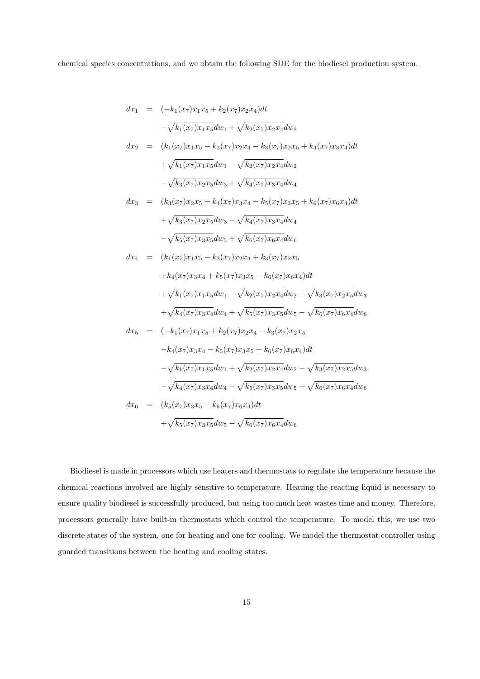chemical species concentrations, and we obtain the following SDE for the biodiesel production system.

$$
dx_1 = (-k_1(x_7)x_1x_5 + k_2(x_7)x_2x_4)dt
$$
  
\n
$$
-\sqrt{k_1(x_7)x_1x_5}dw_1 + \sqrt{k_2(x_7)x_2x_4}dw_2
$$
  
\n
$$
dx_2 = (k_1(x_7)x_1x_5 - k_2(x_7)x_2x_4 - k_3(x_7)x_2x_5 + k_4(x_7)x_3x_4)dt
$$
  
\n
$$
+\sqrt{k_1(x_7)x_1x_5}dw_1 - \sqrt{k_2(x_7)x_2x_4}dw_2
$$
  
\n
$$
-\sqrt{k_3(x_7)x_2x_5}dw_3 + \sqrt{k_4(x_7)x_3x_4}dw_4
$$
  
\n
$$
dx_3 = (k_3(x_7)x_2x_5 - k_4(x_7)x_3x_4 - k_5(x_7)x_3x_5 + k_6(x_7)x_6x_4)dt
$$
  
\n
$$
+\sqrt{k_3(x_7)x_2x_5}dw_3 - \sqrt{k_4(x_7)x_3x_4}dw_4
$$
  
\n
$$
-\sqrt{k_5(x_7)x_3x_5}dw_5 + \sqrt{k_6(x_7)x_6x_4}dw_6
$$
  
\n
$$
dx_4 = (k_1(x_7)x_1x_5 - k_2(x_7)x_2x_4 + k_3(x_7)x_2x_5
$$
  
\n
$$
+k_4(x_7)x_3x_4 + k_5(x_7)x_3x_5 - k_6(x_7)x_6x_4)dt
$$
  
\n
$$
+\sqrt{k_1(x_7)x_1x_5}dw_1 - \sqrt{k_2(x_7)x_2x_4}dw_2 + \sqrt{k_3(x_7)x_2x_5}dw_3
$$
  
\n
$$
+\sqrt{k_4(x_7)x_3x_4}dw_4 + \sqrt{k_5(x_7)x_3x_5}dw_5 - \sqrt{k_6(x_7)x_6x_4}dw_6
$$
  
\n
$$
dx_5 = (-k_1(x_7)x_1x_5 + k_2(x_7)x_2x_4 - k_3(x_7)x_2x_5
$$
  
\n
$$
-k_4(x_7)x_3x_4 - k_5(x_7)x_3x_5 + k_6(x
$$

Biodiesel is made in processors which use heaters and thermostats to regulate the temperature because the chemical reactions involved are highly sensitive to temperature. Heating the reacting liquid is necessary to ensure quality biodiesel is successfully produced, but using too much heat wastes time and money. Therefore, processors generally have built-in thermostats which control the temperature. To model this, we use two discrete states of the system, one for heating and one for cooling. We model the thermostat controller using guarded transitions between the heating and cooling states.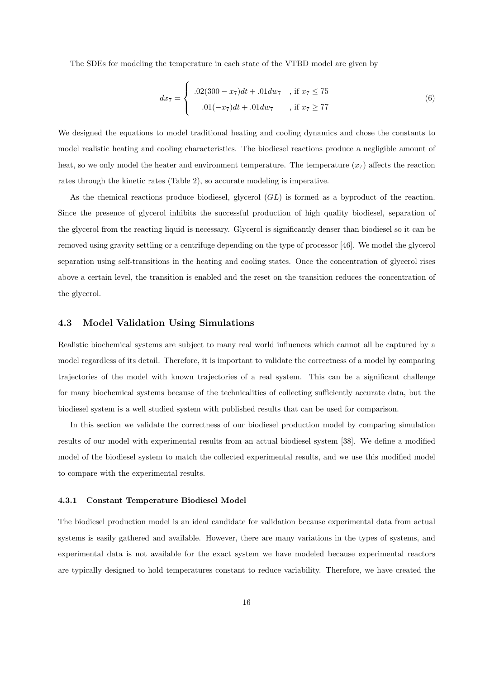The SDEs for modeling the temperature in each state of the VTBD model are given by

$$
dx_7 = \begin{cases} .02(300 - x_7)dt + .01dw_7, & \text{if } x_7 \le 75 \\ .01(-x_7)dt + .01dw_7, & \text{if } x_7 \ge 77 \end{cases}
$$
(6)

We designed the equations to model traditional heating and cooling dynamics and chose the constants to model realistic heating and cooling characteristics. The biodiesel reactions produce a negligible amount of heat, so we only model the heater and environment temperature. The temperature  $(x<sub>7</sub>)$  affects the reaction rates through the kinetic rates (Table 2), so accurate modeling is imperative.

As the chemical reactions produce biodiesel, glycerol (*GL*) is formed as a byproduct of the reaction. Since the presence of glycerol inhibits the successful production of high quality biodiesel, separation of the glycerol from the reacting liquid is necessary. Glycerol is significantly denser than biodiesel so it can be removed using gravity settling or a centrifuge depending on the type of processor [46]. We model the glycerol separation using self-transitions in the heating and cooling states. Once the concentration of glycerol rises above a certain level, the transition is enabled and the reset on the transition reduces the concentration of the glycerol.

#### **4.3 Model Validation Using Simulations**

Realistic biochemical systems are subject to many real world influences which cannot all be captured by a model regardless of its detail. Therefore, it is important to validate the correctness of a model by comparing trajectories of the model with known trajectories of a real system. This can be a significant challenge for many biochemical systems because of the technicalities of collecting sufficiently accurate data, but the biodiesel system is a well studied system with published results that can be used for comparison.

In this section we validate the correctness of our biodiesel production model by comparing simulation results of our model with experimental results from an actual biodiesel system [38]. We define a modified model of the biodiesel system to match the collected experimental results, and we use this modified model to compare with the experimental results.

#### **4.3.1 Constant Temperature Biodiesel Model**

The biodiesel production model is an ideal candidate for validation because experimental data from actual systems is easily gathered and available. However, there are many variations in the types of systems, and experimental data is not available for the exact system we have modeled because experimental reactors are typically designed to hold temperatures constant to reduce variability. Therefore, we have created the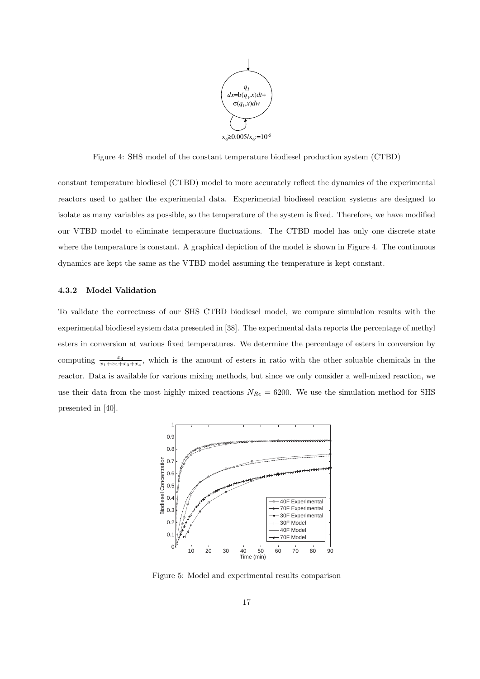

Figure 4: SHS model of the constant temperature biodiesel production system (CTBD)

constant temperature biodiesel (CTBD) model to more accurately reflect the dynamics of the experimental reactors used to gather the experimental data. Experimental biodiesel reaction systems are designed to isolate as many variables as possible, so the temperature of the system is fixed. Therefore, we have modified our VTBD model to eliminate temperature fluctuations. The CTBD model has only one discrete state where the temperature is constant. A graphical depiction of the model is shown in Figure 4. The continuous dynamics are kept the same as the VTBD model assuming the temperature is kept constant.

#### **4.3.2 Model Validation**

To validate the correctness of our SHS CTBD biodiesel model, we compare simulation results with the experimental biodiesel system data presented in [38]. The experimental data reports the percentage of methyl esters in conversion at various fixed temperatures. We determine the percentage of esters in conversion by computing  $\frac{x_4}{x_1+x_2+x_3+x_4}$ , which is the amount of esters in ratio with the other soluable chemicals in the reactor. Data is available for various mixing methods, but since we only consider a well-mixed reaction, we use their data from the most highly mixed reactions  $N_{Re} = 6200$ . We use the simulation method for SHS presented in [40].



Figure 5: Model and experimental results comparison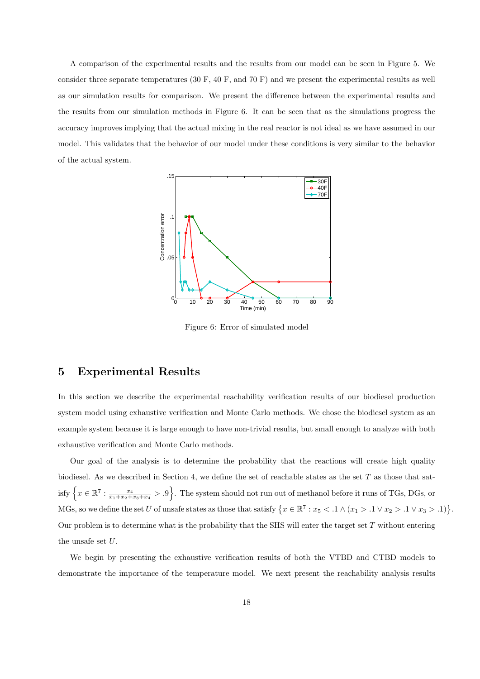A comparison of the experimental results and the results from our model can be seen in Figure 5. We consider three separate temperatures (30 F, 40 F, and 70 F) and we present the experimental results as well as our simulation results for comparison. We present the difference between the experimental results and the results from our simulation methods in Figure 6. It can be seen that as the simulations progress the accuracy improves implying that the actual mixing in the real reactor is not ideal as we have assumed in our model. This validates that the behavior of our model under these conditions is very similar to the behavior of the actual system.



Figure 6: Error of simulated model

# **5 Experimental Results**

In this section we describe the experimental reachability verification results of our biodiesel production system model using exhaustive verification and Monte Carlo methods. We chose the biodiesel system as an example system because it is large enough to have non-trivial results, but small enough to analyze with both exhaustive verification and Monte Carlo methods.

Our goal of the analysis is to determine the probability that the reactions will create high quality biodiesel. As we described in Section 4, we define the set of reachable states as the set *T* as those that sat- $\text{isfy } \left\{ x \in \mathbb{R}^7 : \frac{x_4}{x_1 + x_2 + x_3 + x_4} > .9 \right\}.$  The system should not run out of methanol before it runs of TGs, DGs, or MGs, so we define the set *U* of unsafe states as those that satisfy  $\{x \in \mathbb{R}^7 : x_5 < 0.1 \land (x_1 > 0.1 \lor x_2 > 0.1 \lor x_3 > 0.1)\}$ . Our problem is to determine what is the probability that the SHS will enter the target set *T* without entering the unsafe set *U*.

We begin by presenting the exhaustive verification results of both the VTBD and CTBD models to demonstrate the importance of the temperature model. We next present the reachability analysis results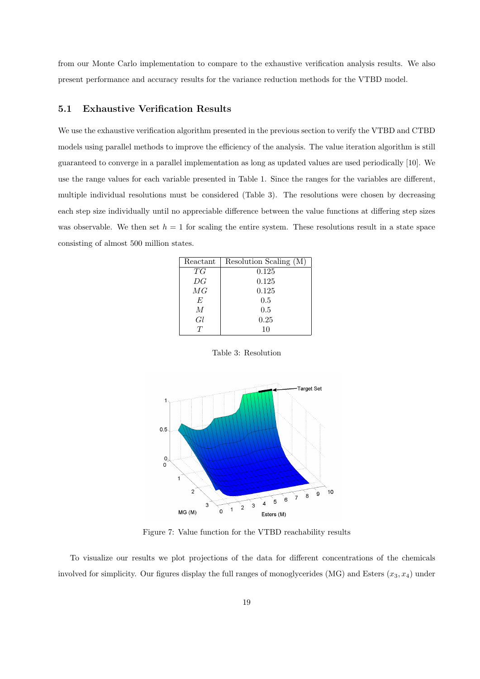from our Monte Carlo implementation to compare to the exhaustive verification analysis results. We also present performance and accuracy results for the variance reduction methods for the VTBD model.

#### **5.1 Exhaustive Verification Results**

We use the exhaustive verification algorithm presented in the previous section to verify the VTBD and CTBD models using parallel methods to improve the efficiency of the analysis. The value iteration algorithm is still guaranteed to converge in a parallel implementation as long as updated values are used periodically [10]. We use the range values for each variable presented in Table 1. Since the ranges for the variables are different, multiple individual resolutions must be considered (Table 3). The resolutions were chosen by decreasing each step size individually until no appreciable difference between the value functions at differing step sizes was observable. We then set  $h = 1$  for scaling the entire system. These resolutions result in a state space consisting of almost 500 million states.

| Reactant       | Resolution Scaling (M) |
|----------------|------------------------|
| T G            | 0.125                  |
| DG             | 0.125                  |
| MG             | 0.125                  |
| E              | 0.5                    |
| $\overline{M}$ | 0.5                    |
| Gl             | 0.25                   |
|                | 10                     |

Table 3: Resolution



Figure 7: Value function for the VTBD reachability results

To visualize our results we plot projections of the data for different concentrations of the chemicals involved for simplicity. Our figures display the full ranges of monoglycerides (MG) and Esters (*x*3*, x*4) under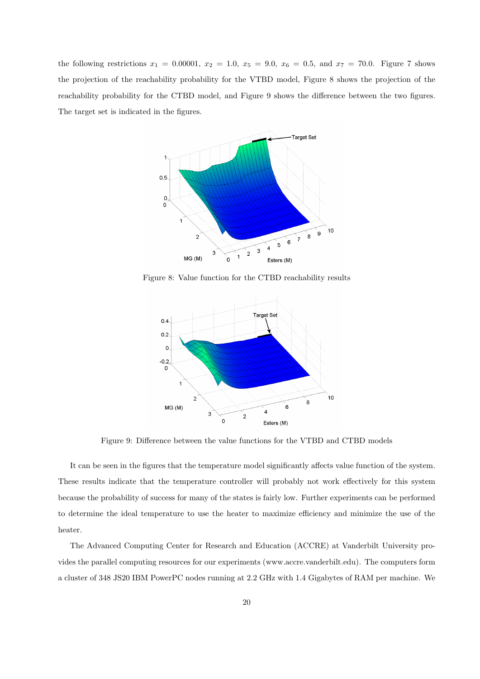the following restrictions  $x_1 = 0.00001$ ,  $x_2 = 1.0$ ,  $x_5 = 9.0$ ,  $x_6 = 0.5$ , and  $x_7 = 70.0$ . Figure 7 shows the projection of the reachability probability for the VTBD model, Figure 8 shows the projection of the reachability probability for the CTBD model, and Figure 9 shows the difference between the two figures. The target set is indicated in the figures.



Figure 8: Value function for the CTBD reachability results



Figure 9: Difference between the value functions for the VTBD and CTBD models

It can be seen in the figures that the temperature model significantly affects value function of the system. These results indicate that the temperature controller will probably not work effectively for this system because the probability of success for many of the states is fairly low. Further experiments can be performed to determine the ideal temperature to use the heater to maximize efficiency and minimize the use of the heater.

The Advanced Computing Center for Research and Education (ACCRE) at Vanderbilt University provides the parallel computing resources for our experiments (www.accre.vanderbilt.edu). The computers form a cluster of 348 JS20 IBM PowerPC nodes running at 2.2 GHz with 1.4 Gigabytes of RAM per machine. We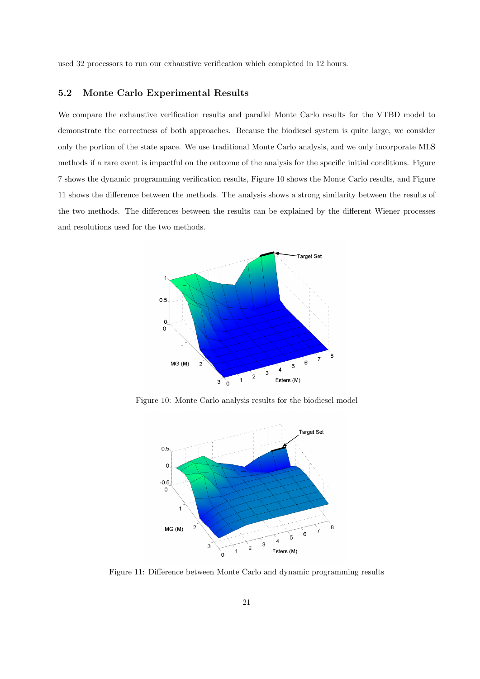used 32 processors to run our exhaustive verification which completed in 12 hours.

#### **5.2 Monte Carlo Experimental Results**

We compare the exhaustive verification results and parallel Monte Carlo results for the VTBD model to demonstrate the correctness of both approaches. Because the biodiesel system is quite large, we consider only the portion of the state space. We use traditional Monte Carlo analysis, and we only incorporate MLS methods if a rare event is impactful on the outcome of the analysis for the specific initial conditions. Figure 7 shows the dynamic programming verification results, Figure 10 shows the Monte Carlo results, and Figure 11 shows the difference between the methods. The analysis shows a strong similarity between the results of the two methods. The differences between the results can be explained by the different Wiener processes and resolutions used for the two methods.



Figure 10: Monte Carlo analysis results for the biodiesel model



Figure 11: Difference between Monte Carlo and dynamic programming results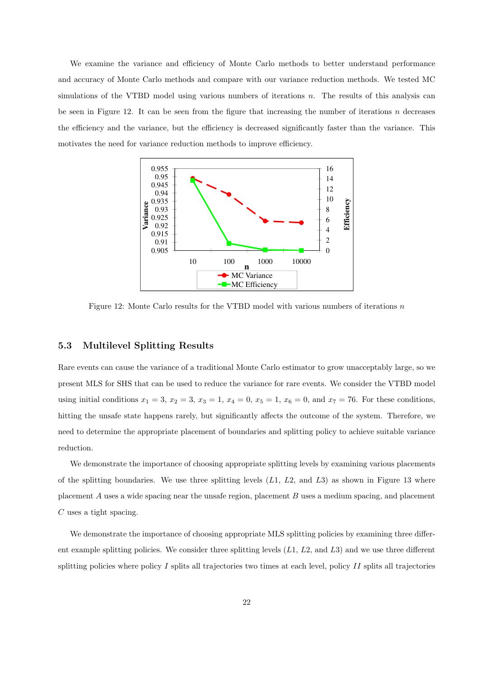We examine the variance and efficiency of Monte Carlo methods to better understand performance and accuracy of Monte Carlo methods and compare with our variance reduction methods. We tested MC simulations of the VTBD model using various numbers of iterations *n*. The results of this analysis can be seen in Figure 12. It can be seen from the figure that increasing the number of iterations *n* decreases the efficiency and the variance, but the efficiency is decreased significantly faster than the variance. This motivates the need for variance reduction methods to improve efficiency.



Figure 12: Monte Carlo results for the VTBD model with various numbers of iterations *n*

#### **5.3 Multilevel Splitting Results**

Rare events can cause the variance of a traditional Monte Carlo estimator to grow unacceptably large, so we present MLS for SHS that can be used to reduce the variance for rare events. We consider the VTBD model using initial conditions  $x_1 = 3$ ,  $x_2 = 3$ ,  $x_3 = 1$ ,  $x_4 = 0$ ,  $x_5 = 1$ ,  $x_6 = 0$ , and  $x_7 = 76$ . For these conditions, hitting the unsafe state happens rarely, but significantly affects the outcome of the system. Therefore, we need to determine the appropriate placement of boundaries and splitting policy to achieve suitable variance reduction.

We demonstrate the importance of choosing appropriate splitting levels by examining various placements of the splitting boundaries. We use three splitting levels (*L*1, *L*2, and *L*3) as shown in Figure 13 where placement *A* uses a wide spacing near the unsafe region, placement *B* uses a medium spacing, and placement *C* uses a tight spacing.

We demonstrate the importance of choosing appropriate MLS splitting policies by examining three different example splitting policies. We consider three splitting levels (*L*1, *L*2, and *L*3) and we use three different splitting policies where policy *I* splits all trajectories two times at each level, policy *II* splits all trajectories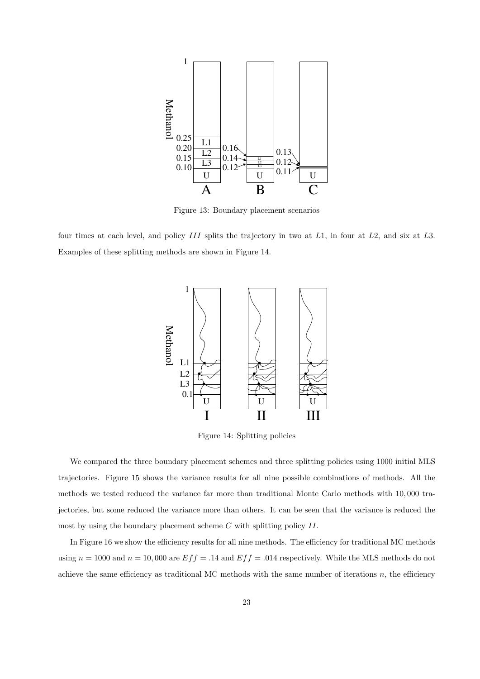

Figure 13: Boundary placement scenarios

four times at each level, and policy *III* splits the trajectory in two at *L*1, in four at *L*2, and six at *L*3. Examples of these splitting methods are shown in Figure 14.



Figure 14: Splitting policies

We compared the three boundary placement schemes and three splitting policies using 1000 initial MLS trajectories. Figure 15 shows the variance results for all nine possible combinations of methods. All the methods we tested reduced the variance far more than traditional Monte Carlo methods with 10*,* 000 trajectories, but some reduced the variance more than others. It can be seen that the variance is reduced the most by using the boundary placement scheme *C* with splitting policy *II*.

In Figure 16 we show the efficiency results for all nine methods. The efficiency for traditional MC methods using  $n = 1000$  and  $n = 10,000$  are  $Eff = .14$  and  $Eff = .014$  respectively. While the MLS methods do not achieve the same efficiency as traditional MC methods with the same number of iterations *n*, the efficiency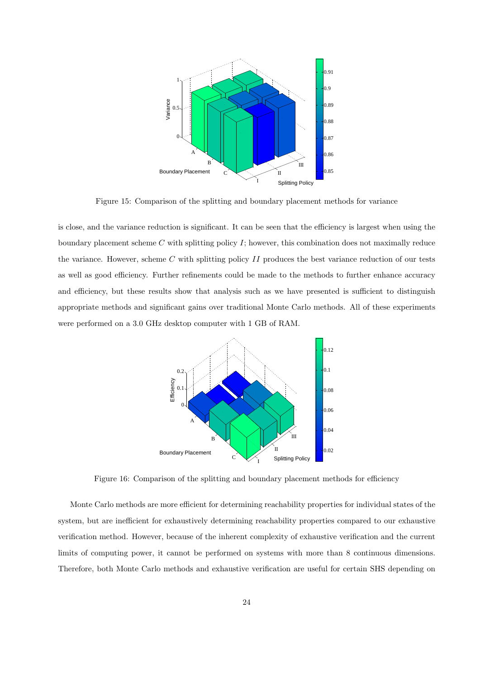

Figure 15: Comparison of the splitting and boundary placement methods for variance

is close, and the variance reduction is significant. It can be seen that the efficiency is largest when using the boundary placement scheme *C* with splitting policy *I*; however, this combination does not maximally reduce the variance. However, scheme *C* with splitting policy *II* produces the best variance reduction of our tests as well as good efficiency. Further refinements could be made to the methods to further enhance accuracy and efficiency, but these results show that analysis such as we have presented is sufficient to distinguish appropriate methods and significant gains over traditional Monte Carlo methods. All of these experiments were performed on a 3.0 GHz desktop computer with 1 GB of RAM.



Figure 16: Comparison of the splitting and boundary placement methods for efficiency

Monte Carlo methods are more efficient for determining reachability properties for individual states of the system, but are inefficient for exhaustively determining reachability properties compared to our exhaustive verification method. However, because of the inherent complexity of exhaustive verification and the current limits of computing power, it cannot be performed on systems with more than 8 continuous dimensions. Therefore, both Monte Carlo methods and exhaustive verification are useful for certain SHS depending on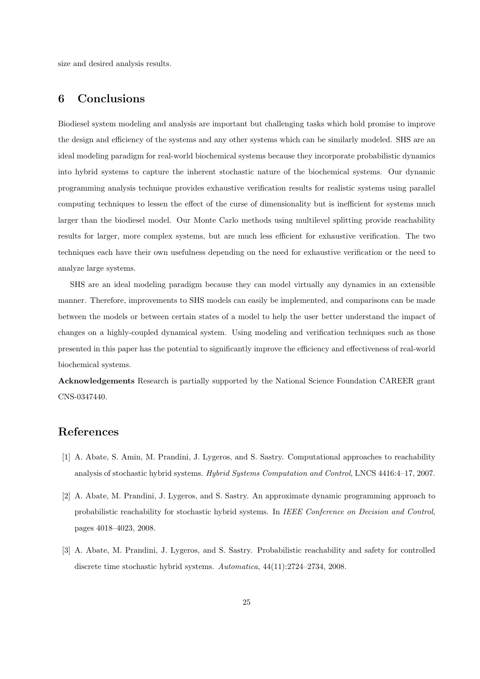size and desired analysis results.

# **6 Conclusions**

Biodiesel system modeling and analysis are important but challenging tasks which hold promise to improve the design and efficiency of the systems and any other systems which can be similarly modeled. SHS are an ideal modeling paradigm for real-world biochemical systems because they incorporate probabilistic dynamics into hybrid systems to capture the inherent stochastic nature of the biochemical systems. Our dynamic programming analysis technique provides exhaustive verification results for realistic systems using parallel computing techniques to lessen the effect of the curse of dimensionality but is inefficient for systems much larger than the biodiesel model. Our Monte Carlo methods using multilevel splitting provide reachability results for larger, more complex systems, but are much less efficient for exhaustive verification. The two techniques each have their own usefulness depending on the need for exhaustive verification or the need to analyze large systems.

SHS are an ideal modeling paradigm because they can model virtually any dynamics in an extensible manner. Therefore, improvements to SHS models can easily be implemented, and comparisons can be made between the models or between certain states of a model to help the user better understand the impact of changes on a highly-coupled dynamical system. Using modeling and verification techniques such as those presented in this paper has the potential to significantly improve the efficiency and effectiveness of real-world biochemical systems.

**Acknowledgements** Research is partially supported by the National Science Foundation CAREER grant CNS-0347440.

## **References**

- [1] A. Abate, S. Amin, M. Prandini, J. Lygeros, and S. Sastry. Computational approaches to reachability analysis of stochastic hybrid systems. *Hybrid Systems Computation and Control*, LNCS 4416:4–17, 2007.
- [2] A. Abate, M. Prandini, J. Lygeros, and S. Sastry. An approximate dynamic programming approach to probabilistic reachability for stochastic hybrid systems. In *IEEE Conference on Decision and Control*, pages 4018–4023, 2008.
- [3] A. Abate, M. Prandini, J. Lygeros, and S. Sastry. Probabilistic reachability and safety for controlled discrete time stochastic hybrid systems. *Automatica*, 44(11):2724–2734, 2008.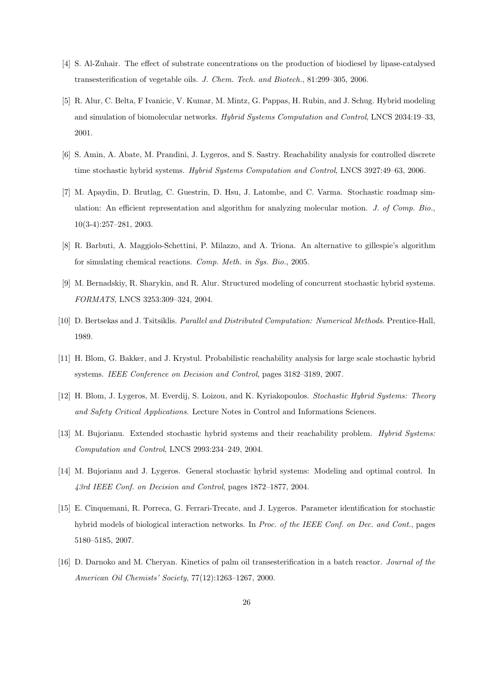- [4] S. Al-Zuhair. The effect of substrate concentrations on the production of biodiesel by lipase-catalysed transesterification of vegetable oils. *J. Chem. Tech. and Biotech.*, 81:299–305, 2006.
- [5] R. Alur, C. Belta, F Ivanicic, V. Kumar, M. Mintz, G. Pappas, H. Rubin, and J. Schug. Hybrid modeling and simulation of biomolecular networks. *Hybrid Systems Computation and Control*, LNCS 2034:19–33, 2001.
- [6] S. Amin, A. Abate, M. Prandini, J. Lygeros, and S. Sastry. Reachability analysis for controlled discrete time stochastic hybrid systems. *Hybrid Systems Computation and Control*, LNCS 3927:49–63, 2006.
- [7] M. Apaydin, D. Brutlag, C. Guestrin, D. Hsu, J. Latombe, and C. Varma. Stochastic roadmap simulation: An efficient representation and algorithm for analyzing molecular motion. *J. of Comp. Bio.*, 10(3-4):257–281, 2003.
- [8] R. Barbuti, A. Maggiolo-Schettini, P. Milazzo, and A. Triona. An alternative to gillespie's algorithm for simulating chemical reactions. *Comp. Meth. in Sys. Bio.*, 2005.
- [9] M. Bernadskiy, R. Sharykin, and R. Alur. Structured modeling of concurrent stochastic hybrid systems. *FORMATS*, LNCS 3253:309–324, 2004.
- [10] D. Bertsekas and J. Tsitsiklis. *Parallel and Distributed Computation: Numerical Methods*. Prentice-Hall, 1989.
- [11] H. Blom, G. Bakker, and J. Krystul. Probabilistic reachability analysis for large scale stochastic hybrid systems. *IEEE Conference on Decision and Control*, pages 3182–3189, 2007.
- [12] H. Blom, J. Lygeros, M. Everdij, S. Loizou, and K. Kyriakopoulos. *Stochastic Hybrid Systems: Theory and Safety Critical Applications*. Lecture Notes in Control and Informations Sciences.
- [13] M. Bujorianu. Extended stochastic hybrid systems and their reachability problem. *Hybrid Systems: Computation and Control*, LNCS 2993:234–249, 2004.
- [14] M. Bujorianu and J. Lygeros. General stochastic hybrid systems: Modeling and optimal control. In *43rd IEEE Conf. on Decision and Control*, pages 1872–1877, 2004.
- [15] E. Cinquemani, R. Porreca, G. Ferrari-Trecate, and J. Lygeros. Parameter identification for stochastic hybrid models of biological interaction networks. In *Proc. of the IEEE Conf. on Dec. and Cont.*, pages 5180–5185, 2007.
- [16] D. Darnoko and M. Cheryan. Kinetics of palm oil transesterification in a batch reactor. *Journal of the American Oil Chemists' Society*, 77(12):1263–1267, 2000.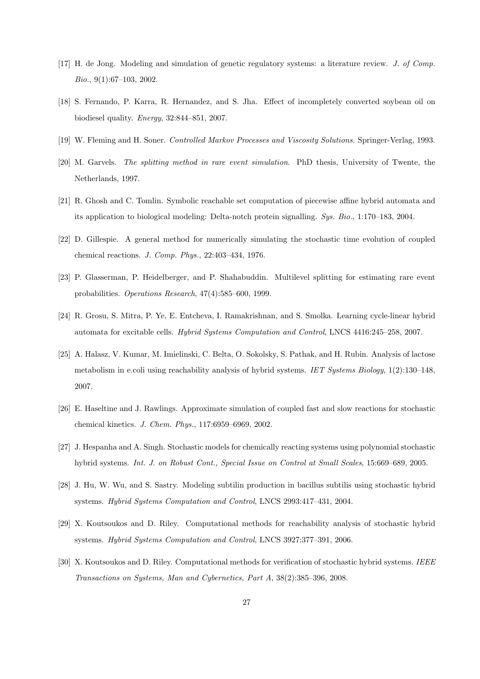- [17] H. de Jong. Modeling and simulation of genetic regulatory systems: a literature review. *J. of Comp. Bio.*, 9(1):67–103, 2002.
- [18] S. Fernando, P. Karra, R. Hernandez, and S. Jha. Effect of incompletely converted soybean oil on biodiesel quality. *Energy*, 32:844–851, 2007.
- [19] W. Fleming and H. Soner. *Controlled Markov Processes and Viscosity Solutions*. Springer-Verlag, 1993.
- [20] M. Garvels. *The splitting method in rare event simulation*. PhD thesis, University of Twente, the Netherlands, 1997.
- [21] R. Ghosh and C. Tomlin. Symbolic reachable set computation of piecewise affine hybrid automata and its application to biological modeling: Delta-notch protein signalling. *Sys. Bio.*, 1:170–183, 2004.
- [22] D. Gillespie. A general method for numerically simulating the stochastic time evolution of coupled chemical reactions. *J. Comp. Phys.*, 22:403–434, 1976.
- [23] P. Glasserman, P. Heidelberger, and P. Shahabuddin. Multilevel splitting for estimating rare event probabilities. *Operations Research*, 47(4):585–600, 1999.
- [24] R. Grosu, S. Mitra, P. Ye, E. Entcheva, I. Ramakrishnan, and S. Smolka. Learning cycle-linear hybrid automata for excitable cells. *Hybrid Systems Computation and Control*, LNCS 4416:245–258, 2007.
- [25] A. Halasz, V. Kumar, M. Imielinski, C. Belta, O. Sokolsky, S. Pathak, and H. Rubin. Analysis of lactose metabolism in e.coli using reachability analysis of hybrid systems. *IET Systems Biology*, 1(2):130–148, 2007.
- [26] E. Haseltine and J. Rawlings. Approximate simulation of coupled fast and slow reactions for stochastic chemical kinetics. *J. Chem. Phys.*, 117:6959–6969, 2002.
- [27] J. Hespanha and A. Singh. Stochastic models for chemically reacting systems using polynomial stochastic hybrid systems. *Int. J. on Robust Cont., Special Issue on Control at Small Scales*, 15:669–689, 2005.
- [28] J. Hu, W. Wu, and S. Sastry. Modeling subtilin production in bacillus subtilis using stochastic hybrid systems. *Hybrid Systems Computation and Control*, LNCS 2993:417–431, 2004.
- [29] X. Koutsoukos and D. Riley. Computational methods for reachability analysis of stochastic hybrid systems. *Hybrid Systems Computation and Control*, LNCS 3927:377–391, 2006.
- [30] X. Koutsoukos and D. Riley. Computational methods for verification of stochastic hybrid systems. *IEEE Transactions on Systems, Man and Cybernetics, Part A*, 38(2):385–396, 2008.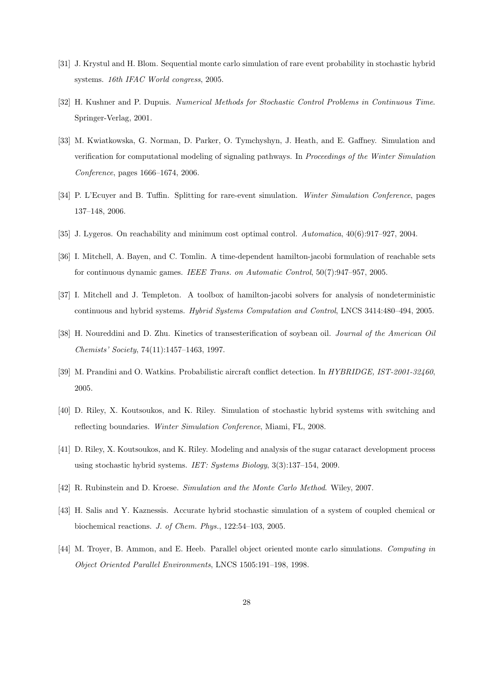- [31] J. Krystul and H. Blom. Sequential monte carlo simulation of rare event probability in stochastic hybrid systems. *16th IFAC World congress*, 2005.
- [32] H. Kushner and P. Dupuis. *Numerical Methods for Stochastic Control Problems in Continuous Time*. Springer-Verlag, 2001.
- [33] M. Kwiatkowska, G. Norman, D. Parker, O. Tymchyshyn, J. Heath, and E. Gaffney. Simulation and verification for computational modeling of signaling pathways. In *Proceedings of the Winter Simulation Conference*, pages 1666–1674, 2006.
- [34] P. L'Ecuyer and B. Tuffin. Splitting for rare-event simulation. *Winter Simulation Conference*, pages 137–148, 2006.
- [35] J. Lygeros. On reachability and minimum cost optimal control. *Automatica*, 40(6):917–927, 2004.
- [36] I. Mitchell, A. Bayen, and C. Tomlin. A time-dependent hamilton-jacobi formulation of reachable sets for continuous dynamic games. *IEEE Trans. on Automatic Control*, 50(7):947–957, 2005.
- [37] I. Mitchell and J. Templeton. A toolbox of hamilton-jacobi solvers for analysis of nondeterministic continuous and hybrid systems. *Hybrid Systems Computation and Control*, LNCS 3414:480–494, 2005.
- [38] H. Noureddini and D. Zhu. Kinetics of transesterification of soybean oil. *Journal of the American Oil Chemists' Society*, 74(11):1457–1463, 1997.
- [39] M. Prandini and O. Watkins. Probabilistic aircraft conflict detection. In *HYBRIDGE, IST-2001-32460*, 2005.
- [40] D. Riley, X. Koutsoukos, and K. Riley. Simulation of stochastic hybrid systems with switching and reflecting boundaries. *Winter Simulation Conference*, Miami, FL, 2008.
- [41] D. Riley, X. Koutsoukos, and K. Riley. Modeling and analysis of the sugar cataract development process using stochastic hybrid systems. *IET: Systems Biology*, 3(3):137–154, 2009.
- [42] R. Rubinstein and D. Kroese. *Simulation and the Monte Carlo Method*. Wiley, 2007.
- [43] H. Salis and Y. Kaznessis. Accurate hybrid stochastic simulation of a system of coupled chemical or biochemical reactions. *J. of Chem. Phys.*, 122:54–103, 2005.
- [44] M. Troyer, B. Ammon, and E. Heeb. Parallel object oriented monte carlo simulations. *Computing in Object Oriented Parallel Environments*, LNCS 1505:191–198, 1998.